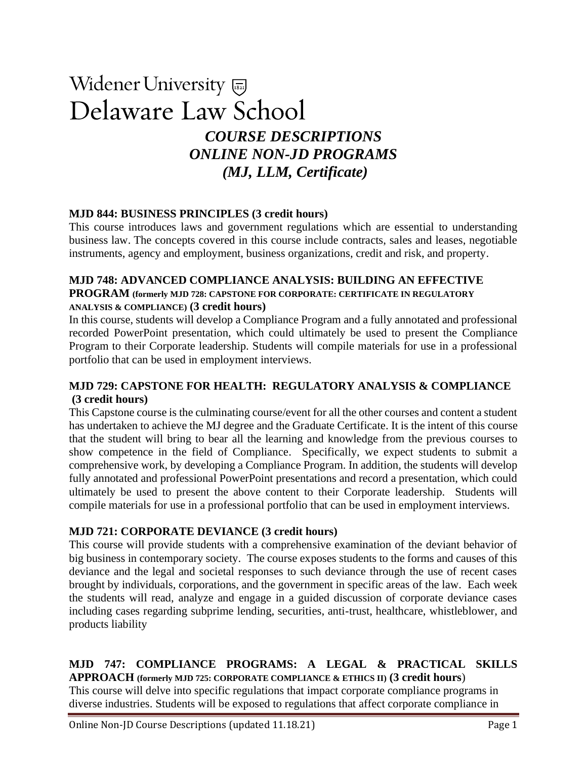# Widener University Delaware Law School *COURSE DESCRIPTIONS*

# *ONLINE NON-JD PROGRAMS (MJ, LLM, Certificate)*

# **MJD 844: BUSINESS PRINCIPLES (3 credit hours)**

This course introduces laws and government regulations which are essential to understanding business law. The concepts covered in this course include contracts, sales and leases, negotiable instruments, agency and employment, business organizations, credit and risk, and property.

# **MJD 748: ADVANCED COMPLIANCE ANALYSIS: BUILDING AN EFFECTIVE**

# **PROGRAM (formerly MJD 728: CAPSTONE FOR CORPORATE: CERTIFICATE IN REGULATORY ANALYSIS & COMPLIANCE) (3 credit hours)**

In this course, students will develop a Compliance Program and a fully annotated and professional recorded PowerPoint presentation, which could ultimately be used to present the Compliance Program to their Corporate leadership. Students will compile materials for use in a professional portfolio that can be used in employment interviews.

# **MJD 729: CAPSTONE FOR HEALTH: REGULATORY ANALYSIS & COMPLIANCE (3 credit hours)**

This Capstone course is the culminating course/event for all the other courses and content a student has undertaken to achieve the MJ degree and the Graduate Certificate. It is the intent of this course that the student will bring to bear all the learning and knowledge from the previous courses to show competence in the field of Compliance. Specifically, we expect students to submit a comprehensive work, by developing a Compliance Program. In addition, the students will develop fully annotated and professional PowerPoint presentations and record a presentation, which could ultimately be used to present the above content to their Corporate leadership. Students will compile materials for use in a professional portfolio that can be used in employment interviews.

# **MJD 721: CORPORATE DEVIANCE (3 credit hours)**

This course will provide students with a comprehensive examination of the deviant behavior of big business in contemporary society. The course exposes students to the forms and causes of this deviance and the legal and societal responses to such deviance through the use of recent cases brought by individuals, corporations, and the government in specific areas of the law. Each week the students will read, analyze and engage in a guided discussion of corporate deviance cases including cases regarding subprime lending, securities, anti-trust, healthcare, whistleblower, and products liability

#### **MJD 747: COMPLIANCE PROGRAMS: A LEGAL & PRACTICAL SKILLS APPROACH (formerly MJD 725: CORPORATE COMPLIANCE & ETHICS II) (3 credit hours**)

This course will delve into specific regulations that impact corporate compliance programs in diverse industries. Students will be exposed to regulations that affect corporate compliance in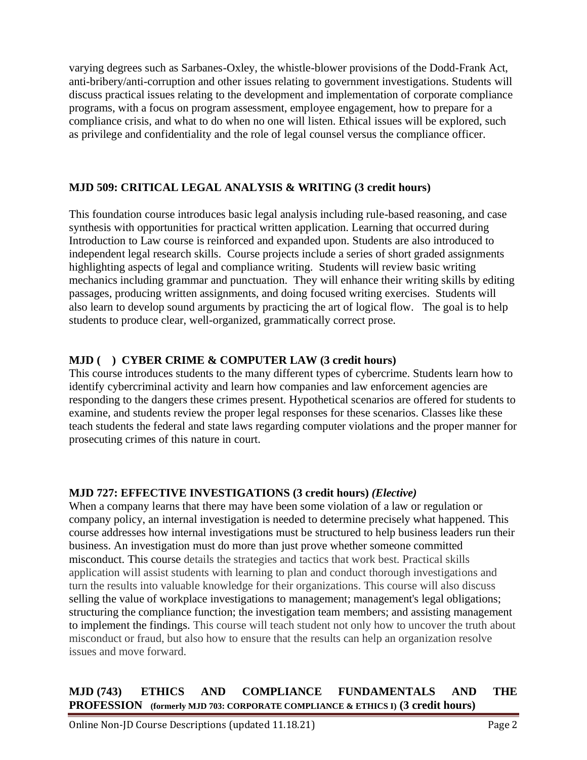varying degrees such as Sarbanes-Oxley, the whistle-blower provisions of the Dodd-Frank Act, anti-bribery/anti-corruption and other issues relating to government investigations. Students will discuss practical issues relating to the development and implementation of corporate compliance programs, with a focus on program assessment, employee engagement, how to prepare for a compliance crisis, and what to do when no one will listen. Ethical issues will be explored, such as privilege and confidentiality and the role of legal counsel versus the compliance officer.

# **MJD 509: CRITICAL LEGAL ANALYSIS & WRITING (3 credit hours)**

This foundation course introduces basic legal analysis including rule-based reasoning, and case synthesis with opportunities for practical written application. Learning that occurred during Introduction to Law course is reinforced and expanded upon. Students are also introduced to independent legal research skills. Course projects include a series of short graded assignments highlighting aspects of legal and compliance writing. Students will review basic writing mechanics including grammar and punctuation. They will enhance their writing skills by editing passages, producing written assignments, and doing focused writing exercises. Students will also learn to develop sound arguments by practicing the art of logical flow. The goal is to help students to produce clear, well-organized, grammatically correct prose.

# **MJD ( ) CYBER CRIME & COMPUTER LAW (3 credit hours)**

This course introduces students to the many different types of cybercrime. Students learn how to identify cybercriminal activity and learn how companies and law enforcement agencies are responding to the dangers these crimes present. Hypothetical scenarios are offered for students to examine, and students review the proper legal responses for these scenarios. Classes like these teach students the federal and state laws regarding computer violations and the proper manner for prosecuting crimes of this nature in court.

# **MJD 727: EFFECTIVE INVESTIGATIONS (3 credit hours)** *(Elective)*

When a company learns that there may have been some violation of a law or regulation or company policy, an internal investigation is needed to determine precisely what happened. This course addresses how internal investigations must be structured to help business leaders run their business. An investigation must do more than just prove whether someone committed misconduct. This course details the strategies and tactics that work best. Practical skills application will assist students with learning to plan and conduct thorough investigations and turn the results into valuable knowledge for their organizations. This course will also discuss selling the value of workplace investigations to management; management's legal obligations; structuring the compliance function; the investigation team members; and assisting management to implement the findings. This course will teach student not only how to uncover the truth about misconduct or fraud, but also how to ensure that the results can help an organization resolve issues and move forward.

# **MJD (743) ETHICS AND COMPLIANCE FUNDAMENTALS AND THE PROFESSION (formerly MJD 703: CORPORATE COMPLIANCE & ETHICS I) (3 credit hours)**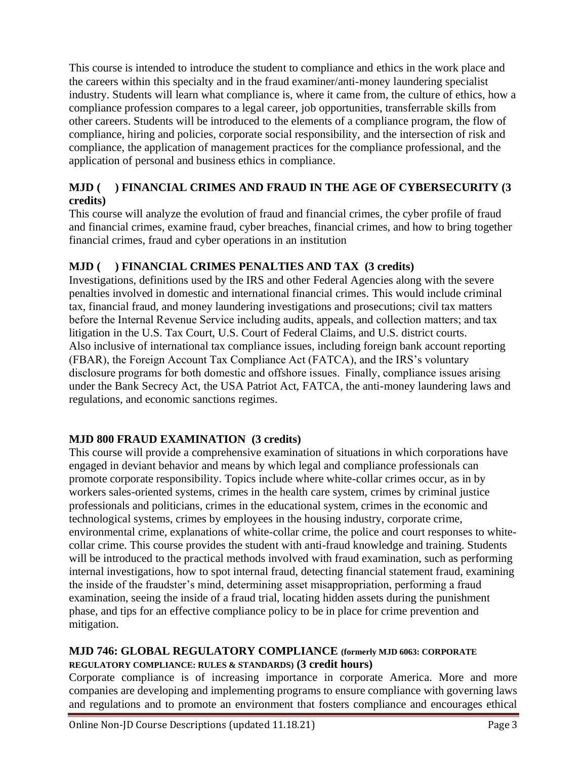This course is intended to introduce the student to compliance and ethics in the work place and the careers within this specialty and in the fraud examiner/anti-money laundering specialist industry. Students will learn what compliance is, where it came from, the culture of ethics, how a compliance profession compares to a legal career, job opportunities, transferrable skills from other careers. Students will be introduced to the elements of a compliance program, the flow of compliance, hiring and policies, corporate social responsibility, and the intersection of risk and compliance, the application of management practices for the compliance professional, and the application of personal and business ethics in compliance.

# **MJD ( ) FINANCIAL CRIMES AND FRAUD IN THE AGE OF CYBERSECURITY (3 credits)**

This course will analyze the evolution of fraud and financial crimes, the cyber profile of fraud and financial crimes, examine fraud, cyber breaches, financial crimes, and how to bring together financial crimes, fraud and cyber operations in an institution

# **MJD ( ) FINANCIAL CRIMES PENALTIES AND TAX (3 credits)**

Investigations, definitions used by the IRS and other Federal Agencies along with the severe penalties involved in domestic and international financial crimes. This would include criminal tax, financial fraud, and money laundering investigations and prosecutions; civil tax matters before the Internal Revenue Service including audits, appeals, and collection matters; and tax litigation in the U.S. Tax Court, U.S. Court of Federal Claims, and U.S. district courts. Also inclusive of international tax compliance issues, including foreign bank account reporting (FBAR), the Foreign Account Tax Compliance Act (FATCA), and the IRS's voluntary disclosure programs for both domestic and offshore issues.  Finally, compliance issues arising under the Bank Secrecy Act, the USA Patriot Act, FATCA, the anti-money laundering laws and regulations, and economic sanctions regimes.

# **MJD 800 FRAUD EXAMINATION (3 credits)**

This course will provide a comprehensive examination of situations in which corporations have engaged in deviant behavior and means by which legal and compliance professionals can promote corporate responsibility. Topics include where white-collar crimes occur, as in by workers sales-oriented systems, crimes in the health care system, crimes by criminal justice professionals and politicians, crimes in the educational system, crimes in the economic and technological systems, crimes by employees in the housing industry, corporate crime, environmental crime, explanations of white-collar crime, the police and court responses to whitecollar crime. This course provides the student with anti-fraud knowledge and training. Students will be introduced to the practical methods involved with fraud examination, such as performing internal investigations, how to spot internal fraud, detecting financial statement fraud, examining the inside of the fraudster's mind, determining asset misappropriation, performing a fraud examination, seeing the inside of a fraud trial, locating hidden assets during the punishment phase, and tips for an effective compliance policy to be in place for crime prevention and mitigation.

# **MJD 746: GLOBAL REGULATORY COMPLIANCE (formerly MJD 6063: CORPORATE REGULATORY COMPLIANCE: RULES & STANDARDS) (3 credit hours)**

Corporate compliance is of increasing importance in corporate America. More and more companies are developing and implementing programs to ensure compliance with governing laws and regulations and to promote an environment that fosters compliance and encourages ethical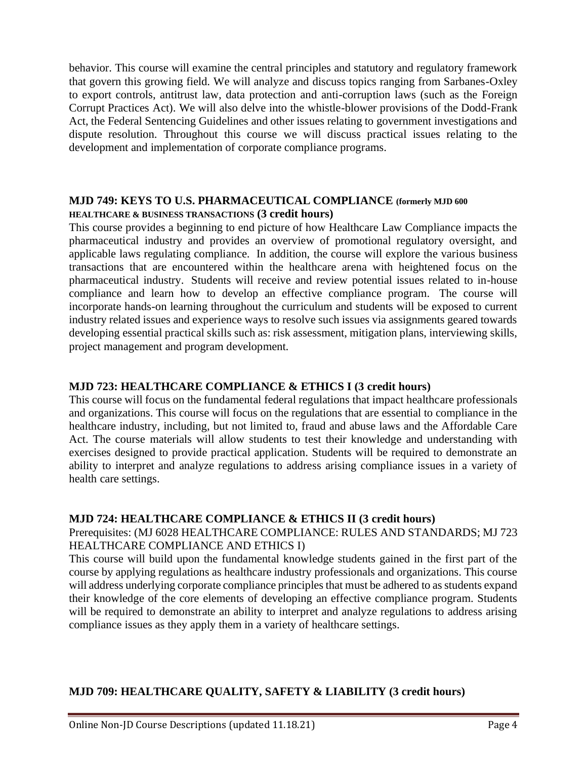behavior. This course will examine the central principles and statutory and regulatory framework that govern this growing field. We will analyze and discuss topics ranging from Sarbanes-Oxley to export controls, antitrust law, data protection and anti-corruption laws (such as the Foreign Corrupt Practices Act). We will also delve into the whistle-blower provisions of the Dodd-Frank Act, the Federal Sentencing Guidelines and other issues relating to government investigations and dispute resolution. Throughout this course we will discuss practical issues relating to the development and implementation of corporate compliance programs.

#### **MJD 749: KEYS TO U.S. PHARMACEUTICAL COMPLIANCE (formerly MJD 600 HEALTHCARE & BUSINESS TRANSACTIONS (3 credit hours)**

This course provides a beginning to end picture of how Healthcare Law Compliance impacts the pharmaceutical industry and provides an overview of promotional regulatory oversight, and applicable laws regulating compliance. In addition, the course will explore the various business transactions that are encountered within the healthcare arena with heightened focus on the pharmaceutical industry. Students will receive and review potential issues related to in-house compliance and learn how to develop an effective compliance program. The course will incorporate hands-on learning throughout the curriculum and students will be exposed to current industry related issues and experience ways to resolve such issues via assignments geared towards developing essential practical skills such as: risk assessment, mitigation plans, interviewing skills, project management and program development.

#### **MJD 723: HEALTHCARE COMPLIANCE & ETHICS I (3 credit hours)**

This course will focus on the fundamental federal regulations that impact healthcare professionals and organizations. This course will focus on the regulations that are essential to compliance in the healthcare industry, including, but not limited to, fraud and abuse laws and the Affordable Care Act. The course materials will allow students to test their knowledge and understanding with exercises designed to provide practical application. Students will be required to demonstrate an ability to interpret and analyze regulations to address arising compliance issues in a variety of health care settings.

#### **MJD 724: HEALTHCARE COMPLIANCE & ETHICS II (3 credit hours)**

#### Prerequisites: (MJ 6028 HEALTHCARE COMPLIANCE: RULES AND STANDARDS; MJ 723 HEALTHCARE COMPLIANCE AND ETHICS I)

This course will build upon the fundamental knowledge students gained in the first part of the course by applying regulations as healthcare industry professionals and organizations. This course will address underlying corporate compliance principles that must be adhered to as students expand their knowledge of the core elements of developing an effective compliance program. Students will be required to demonstrate an ability to interpret and analyze regulations to address arising compliance issues as they apply them in a variety of healthcare settings.

# **MJD 709: HEALTHCARE QUALITY, SAFETY & LIABILITY (3 credit hours)**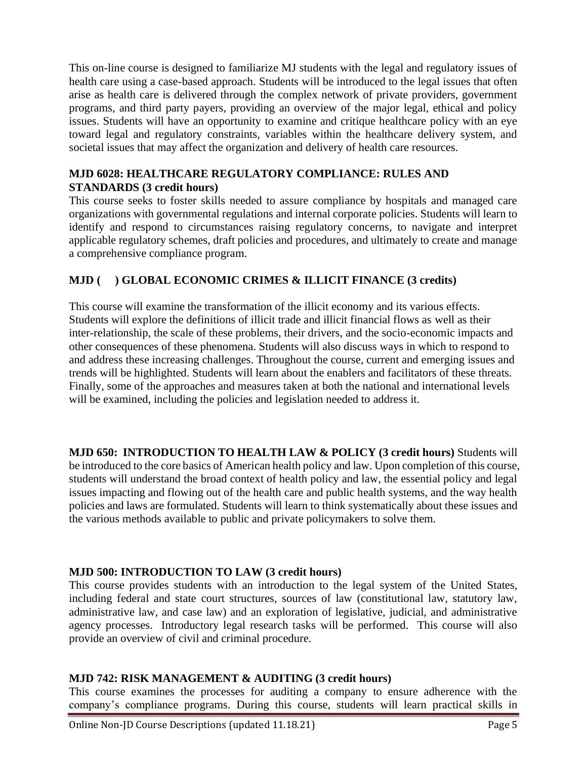This on-line course is designed to familiarize MJ students with the legal and regulatory issues of health care using a case-based approach. Students will be introduced to the legal issues that often arise as health care is delivered through the complex network of private providers, government programs, and third party payers, providing an overview of the major legal, ethical and policy issues. Students will have an opportunity to examine and critique healthcare policy with an eye toward legal and regulatory constraints, variables within the healthcare delivery system, and societal issues that may affect the organization and delivery of health care resources.

# **MJD 6028: HEALTHCARE REGULATORY COMPLIANCE: RULES AND STANDARDS (3 credit hours)**

This course seeks to foster skills needed to assure compliance by hospitals and managed care organizations with governmental regulations and internal corporate policies. Students will learn to identify and respond to circumstances raising regulatory concerns, to navigate and interpret applicable regulatory schemes, draft policies and procedures, and ultimately to create and manage a comprehensive compliance program.

# **MJD ( ) GLOBAL ECONOMIC CRIMES & ILLICIT FINANCE (3 credits)**

This course will examine the transformation of the illicit economy and its various effects. Students will explore the definitions of illicit trade and illicit financial flows as well as their inter-relationship, the scale of these problems, their drivers, and the socio-economic impacts and other consequences of these phenomena. Students will also discuss ways in which to respond to and address these increasing challenges. Throughout the course, current and emerging issues and trends will be highlighted. Students will learn about the enablers and facilitators of these threats. Finally, some of the approaches and measures taken at both the national and international levels will be examined, including the policies and legislation needed to address it.

**MJD 650: INTRODUCTION TO HEALTH LAW & POLICY (3 credit hours)** Students will be introduced to the core basics of American health policy and law. Upon completion of this course, students will understand the broad context of health policy and law, the essential policy and legal issues impacting and flowing out of the health care and public health systems, and the way health policies and laws are formulated. Students will learn to think systematically about these issues and the various methods available to public and private policymakers to solve them.

# **MJD 500: INTRODUCTION TO LAW (3 credit hours)**

This course provides students with an introduction to the legal system of the United States, including federal and state court structures, sources of law (constitutional law, statutory law, administrative law, and case law) and an exploration of legislative, judicial, and administrative agency processes. Introductory legal research tasks will be performed. This course will also provide an overview of civil and criminal procedure.

# **MJD 742: RISK MANAGEMENT & AUDITING (3 credit hours)**

This course examines the processes for auditing a company to ensure adherence with the company's compliance programs. During this course, students will learn practical skills in